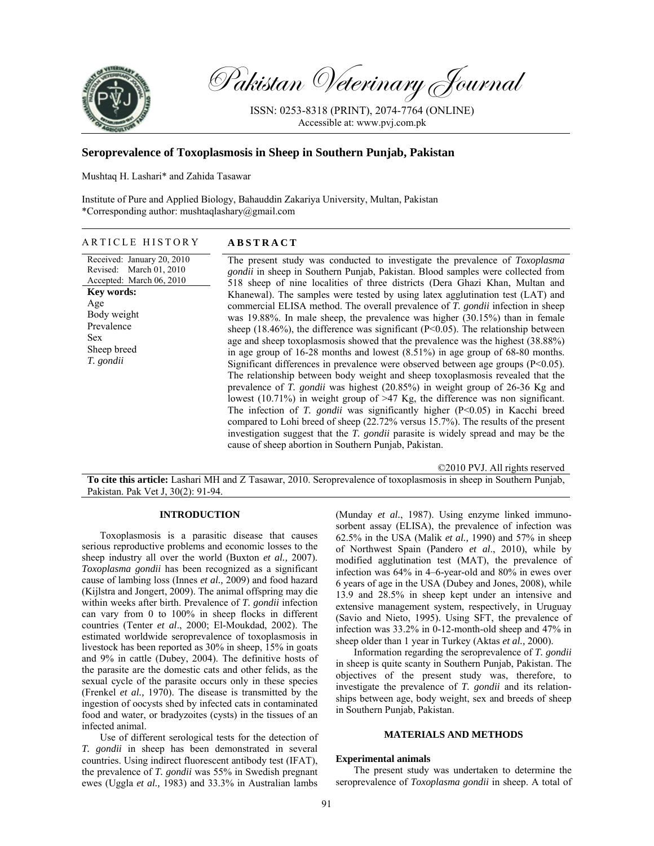

Pakistan Veterinary Journal

ISSN: 0253-8318 (PRINT), 2074-7764 (ONLINE) Accessible at: www.pvj.com.pk

# **Seroprevalence of Toxoplasmosis in Sheep in Southern Punjab, Pakistan**

Mushtaq H. Lashari\* and Zahida Tasawar

Institute of Pure and Applied Biology, Bahauddin Zakariya University, Multan, Pakistan \*Corresponding author: mushtaqlashary@gmail.com

## ARTICLE HISTORY **ABSTRACT**

Received: January 20, 2010 Revised: March 01, 2010 Accepted: March 06, 2010 **Key words:**  Age Body weight Prevalence Sex Sheep breed *T. gondii*

The present study was conducted to investigate the prevalence of *Toxoplasma gondii* in sheep in Southern Punjab, Pakistan. Blood samples were collected from 518 sheep of nine localities of three districts (Dera Ghazi Khan, Multan and Khanewal). The samples were tested by using latex agglutination test (LAT) and commercial ELISA method. The overall prevalence of *T. gondii* infection in sheep was 19.88%. In male sheep, the prevalence was higher (30.15%) than in female sheep (18.46%), the difference was significant ( $P<0.05$ ). The relationship between age and sheep toxoplasmosis showed that the prevalence was the highest (38.88%) in age group of 16-28 months and lowest (8.51%) in age group of 68-80 months. Significant differences in prevalence were observed between age groups  $(P<0.05)$ . The relationship between body weight and sheep toxoplasmosis revealed that the prevalence of *T. gondii* was highest (20.85%) in weight group of 26-36 Kg and lowest (10.71%) in weight group of >47 Kg, the difference was non significant. The infection of *T. gondii* was significantly higher (P<0.05) in Kacchi breed compared to Lohi breed of sheep (22.72% versus 15.7%). The results of the present investigation suggest that the *T. gondii* parasite is widely spread and may be the cause of sheep abortion in Southern Punjab, Pakistan.

©2010 PVJ. All rights reserved

**To cite this article:** Lashari MH and Z Tasawar, 2010. Seroprevalence of toxoplasmosis in sheep in Southern Punjab, Pakistan. Pak Vet J, 30(2): 91-94.

## **INTRODUCTION**

Toxoplasmosis is a parasitic disease that causes serious reproductive problems and economic losses to the sheep industry all over the world (Buxton *et al.,* 2007). *Toxoplasma gondii* has been recognized as a significant cause of lambing loss (Innes *et al.,* 2009) and food hazard (Kijlstra and Jongert, 2009). The animal offspring may die within weeks after birth. Prevalence of *T. gondii* infection can vary from 0 to 100% in sheep flocks in different countries (Tenter *et al*., 2000; El-Moukdad, 2002). The estimated worldwide seroprevalence of toxoplasmosis in livestock has been reported as 30% in sheep, 15% in goats and 9% in cattle (Dubey, 2004). The definitive hosts of the parasite are the domestic cats and other felids, as the sexual cycle of the parasite occurs only in these species (Frenkel *et al.,* 1970). The disease is transmitted by the ingestion of oocysts shed by infected cats in contaminated food and water, or bradyzoites (cysts) in the tissues of an infected animal.

Use of different serological tests for the detection of *T. gondii* in sheep has been demonstrated in several countries. Using indirect fluorescent antibody test (IFAT), the prevalence of *T. gondii* was 55% in Swedish pregnant ewes (Uggla *et al.,* 1983) and 33.3% in Australian lambs

(Munday *et al.*, 1987). Using enzyme linked immunosorbent assay (ELISA), the prevalence of infection was 62.5% in the USA (Malik *et al.,* 1990) and 57% in sheep of Northwest Spain (Pandero *et al*., 2010), while by modified agglutination test (MAT), the prevalence of infection was 64% in 4–6-year-old and 80% in ewes over 6 years of age in the USA (Dubey and Jones, 2008), while 13.9 and 28.5% in sheep kept under an intensive and extensive management system, respectively, in Uruguay (Savio and Nieto, 1995). Using SFT, the prevalence of infection was 33.2% in 0-12-month-old sheep and 47% in sheep older than 1 year in Turkey (Aktas *et al.,* 2000).

Information regarding the seroprevalence of *T. gondii*  in sheep is quite scanty in Southern Punjab, Pakistan. The objectives of the present study was, therefore, to investigate the prevalence of *T. gondii* and its relationships between age, body weight, sex and breeds of sheep in Southern Punjab, Pakistan.

### **MATERIALS AND METHODS**

#### **Experimental animals**

The present study was undertaken to determine the seroprevalence of *Toxoplasma gondii* in sheep. A total of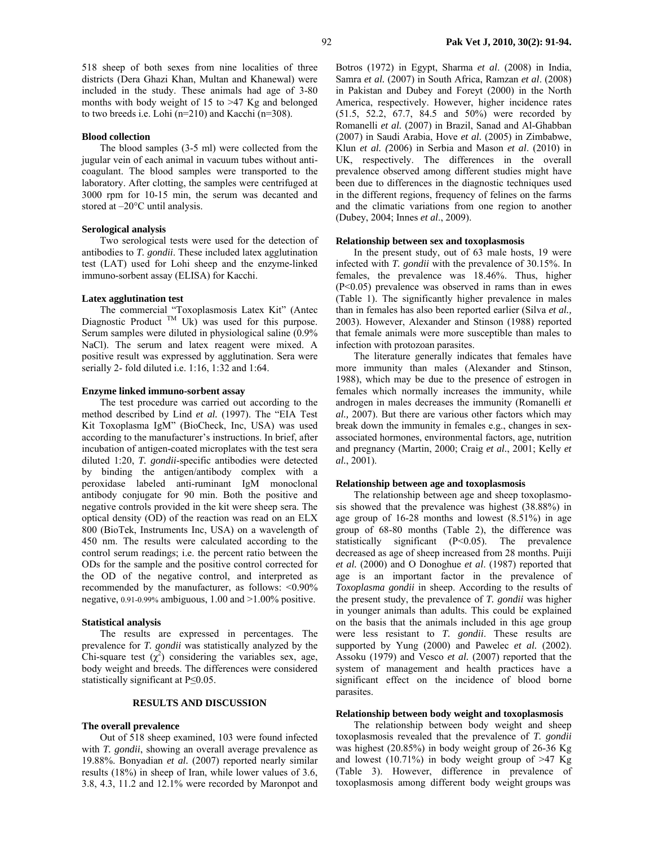518 sheep of both sexes from nine localities of three districts (Dera Ghazi Khan, Multan and Khanewal) were included in the study. These animals had age of 3-80 months with body weight of 15 to >47 Kg and belonged to two breeds i.e. Lohi (n=210) and Kacchi (n=308).

#### **Blood collection**

The blood samples (3-5 ml) were collected from the jugular vein of each animal in vacuum tubes without anticoagulant. The blood samples were transported to the laboratory. After clotting, the samples were centrifuged at 3000 rpm for 10-15 min, the serum was decanted and stored at –20°C until analysis.

### **Serological analysis**

Two serological tests were used for the detection of antibodies to *T. gondii*. These included latex agglutination test (LAT) used for Lohi sheep and the enzyme-linked immuno-sorbent assay (ELISA) for Kacchi.

### **Latex agglutination test**

The commercial "Toxoplasmosis Latex Kit" (Antec  $\mu$  Commercial TM UAD passinosis Latex KIT (After Diagnostic Product TM Uk) was used for this purpose. Serum samples were diluted in physiological saline (0.9% NaCl). The serum and latex reagent were mixed. A positive result was expressed by agglutination. Sera were serially 2- fold diluted i.e. 1:16, 1:32 and 1:64.

#### **Enzyme linked immuno-sorbent assay**

The test procedure was carried out according to the method described by Lind *et al.* (1997). The "EIA Test Kit Toxoplasma IgM" (BioCheck, Inc, USA) was used according to the manufacturer's instructions. In brief, after incubation of antigen-coated microplates with the test sera diluted 1:20, *T. gondii*-specific antibodies were detected by binding the antigen/antibody complex with a peroxidase labeled anti-ruminant IgM monoclonal antibody conjugate for 90 min. Both the positive and negative controls provided in the kit were sheep sera. The optical density (OD) of the reaction was read on an ELX 800 (BioTek, Instruments Inc, USA) on a wavelength of 450 nm. The results were calculated according to the control serum readings; i.e. the percent ratio between the ODs for the sample and the positive control corrected for the OD of the negative control, and interpreted as recommended by the manufacturer, as follows: <0.90% negative, 0.91-0.99% ambiguous, 1.00 and >1.00% positive.

#### **Statistical analysis**

The results are expressed in percentages. The prevalence for *T. gondii* was statistically analyzed by the Chi-square test  $(\chi^2)$  considering the variables sex, age, body weight and breeds. The differences were considered statistically significant at P≤0.05.

### **RESULTS AND DISCUSSION**

### **The overall prevalence**

Out of 518 sheep examined, 103 were found infected with *T. gondii*, showing an overall average prevalence as 19.88%. Bonyadian *et al.* (2007) reported nearly similar results (18%) in sheep of Iran, while lower values of 3.6, 3.8, 4.3, 11.2 and 12.1% were recorded by Maronpot and

Botros (1972) in Egypt, Sharma *et al*. (2008) in India, Samra *et al.* (2007) in South Africa, Ramzan *et al*. (2008) in Pakistan and Dubey and Foreyt (2000) in the North America, respectively. However, higher incidence rates (51.5, 52.2, 67.7, 84.5 and 50%) were recorded by Romanelli *et al.* (2007) in Brazil, Sanad and Al-Ghabban (2007) in Saudi Arabia, Hove *et al.* (2005) in Zimbabwe, Klun *et al. (*2006) in Serbia and Mason *et al*. (2010) in UK, respectively. The differences in the overall prevalence observed among different studies might have been due to differences in the diagnostic techniques used in the different regions, frequency of felines on the farms and the climatic variations from one region to another (Dubey, 2004; Innes *et al*., 2009).

### **Relationship between sex and toxoplasmosis**

In the present study, out of 63 male hosts, 19 were infected with *T. gondii* with the prevalence of 30.15%. In females, the prevalence was 18.46%. Thus, higher (P<0.05) prevalence was observed in rams than in ewes (Table 1). The significantly higher prevalence in males than in females has also been reported earlier (Silva *et al.,* 2003). However, Alexander and Stinson (1988) reported that female animals were more susceptible than males to infection with protozoan parasites.

The literature generally indicates that females have more immunity than males (Alexander and Stinson, 1988), which may be due to the presence of estrogen in females which normally increases the immunity, while androgen in males decreases the immunity (Romanelli *et al.,* 2007). But there are various other factors which may break down the immunity in females e.g., changes in sexassociated hormones, environmental factors, age, nutrition and pregnancy (Martin, 2000; Craig *et al.*, 2001; Kelly *et al.*, 2001).

#### **Relationship between age and toxoplasmosis**

The relationship between age and sheep toxoplasmosis showed that the prevalence was highest (38.88%) in age group of 16-28 months and lowest (8.51%) in age group of 68-80 months (Table 2), the difference was statistically significant (P<0.05). The prevalence decreased as age of sheep increased from 28 months. Puiji *et al.* (2000) and O Donoghue *et al*. (1987) reported that age is an important factor in the prevalence of *Toxoplasma gondii* in sheep. According to the results of the present study, the prevalence of *T. gondii* was higher in younger animals than adults. This could be explained on the basis that the animals included in this age group were less resistant to *T. gondii*. These results are supported by Yung (2000) and Pawelec *et al.* (2002). Assoku (1979) and Vesco *et al.* (2007) reported that the system of management and health practices have a significant effect on the incidence of blood borne parasites.

#### **Relationship between body weight and toxoplasmosis**

The relationship between body weight and sheep toxoplasmosis revealed that the prevalence of *T. gondii*  was highest (20.85%) in body weight group of 26-36 Kg and lowest (10.71%) in body weight group of  $>47$  Kg (Table 3). However, difference in prevalence of toxoplasmosis among different body weight groups was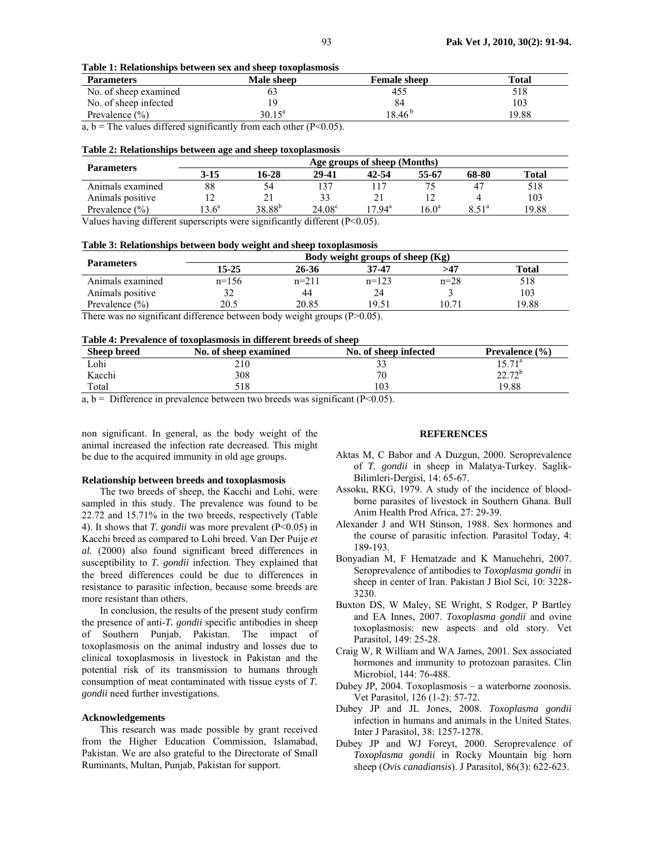|  | Table 1: Relationships between sex and sheep toxoplasmosis |  |  |
|--|------------------------------------------------------------|--|--|
|--|------------------------------------------------------------|--|--|

| <b>Parameters</b>     | Male sheep      | <b>Female sheep</b> | Total |
|-----------------------|-----------------|---------------------|-------|
| No. of sheep examined |                 | 455                 | 518   |
| No. of sheep infected |                 |                     | 103   |
| Prevalence $(\% )$    | $30.15^{\circ}$ | 18.46 <sup>b</sup>  | 19.88 |

a,  $b =$ The values differed significantly from each other (P<0.05).

### **Table 2: Relationships between age and sheep toxoplasmosis**

| <b>Parameters</b>  | Age groups of sheep (Months) |                    |                 |                 |                   |                               |              |
|--------------------|------------------------------|--------------------|-----------------|-----------------|-------------------|-------------------------------|--------------|
|                    | $3 - 15$                     | 16-28              | 29-41           | 42-54           | 55-67             | 68-80                         | <b>Total</b> |
| Animals examined   | 88                           | 54                 |                 |                 |                   |                               | 518          |
| Animals positive   |                              | 21                 | 33              |                 |                   |                               | 103          |
| Prevalence $(\% )$ | $13.6^{\circ}$               | 38.88 <sup>b</sup> | $24.08^{\circ}$ | $17.94^{\rm a}$ | 16.0 <sup>a</sup> | $\frac{1}{2}$ 51 <sup>a</sup> | 19.88        |

Values having different superscripts were significantly different (P<0.05).

## **Table 3: Relationships between body weight and sheep toxoplasmosis**

| <b>Parameters</b>  | Body weight groups of sheep $(Kg)$ |         |         |          |       |  |
|--------------------|------------------------------------|---------|---------|----------|-------|--|
|                    | 15-25                              | 26-36   | 37-47   | >47      | Total |  |
| Animals examined   | n=156                              | $n=211$ | $n=123$ | $n = 28$ | 518   |  |
| Animals positive   |                                    | 44      | 24      |          | 103   |  |
| Prevalence $(\% )$ | 20.5                               | 20.85   | 19.51   | 10 71    | 19.88 |  |

There was no significant difference between body weight groups (P>0.05).

### **Table 4: Prevalence of toxoplasmosis in different breeds of sheep**

| A WALLY IT A LIV LIMAVALUD VA VULLUMANIJAALUMAN AAL WALLYA VALU MA UU VA MALUU M |                       |                       |                             |  |  |  |
|----------------------------------------------------------------------------------|-----------------------|-----------------------|-----------------------------|--|--|--|
| <b>Sheep breed</b>                                                               | No. of sheep examined | No. of sheep infected | <b>Prevalence</b> $(\% )$   |  |  |  |
| Lohi                                                                             | 210                   | ĴĴ                    | 5.71a                       |  |  |  |
| Kacchi                                                                           | 308                   | 70                    | 22.72 <sup>b</sup><br>44.14 |  |  |  |
| Total                                                                            | 518                   | 103                   | 19.88                       |  |  |  |

 $a, b =$  Difference in prevalence between two breeds was significant (P<0.05).

non significant. In general, as the body weight of the animal increased the infection rate decreased. This might be due to the acquired immunity in old age groups.

### **Relationship between breeds and toxoplasmosis**

The two breeds of sheep, the Kacchi and Lohi, were sampled in this study. The prevalence was found to be 22.72 and 15.71% in the two breeds, respectively (Table 4). It shows that *T. gondii* was more prevalent (P<0.05) in Kacchi breed as compared to Lohi breed. Van Der Puije *et al.* (2000) also found significant breed differences in susceptibility to *T. gondii* infection. They explained that the breed differences could be due to differences in resistance to parasitic infection, because some breeds are more resistant than others.

In conclusion, the results of the present study confirm the presence of anti-*T. gondii* specific antibodies in sheep of Southern Punjab, Pakistan. The impact of toxoplasmosis on the animal industry and losses due to clinical toxoplasmosis in livestock in Pakistan and the potential risk of its transmission to humans through consumption of meat contaminated with tissue cysts of *T. gondii* need further investigations.

#### **Acknowledgements**

This research was made possible by grant received from the Higher Education Commission, Islamabad, Pakistan. We are also grateful to the Directorate of Small Ruminants, Multan, Punjab, Pakistan for support.

### **REFERENCES**

- Aktas M, C Babor and A Duzgun, 2000. Seroprevalence of *T. gondii* in sheep in Malatya-Turkey. Saglik-Bilimleri-Dergisi, 14: 65-67.
- Assoku, RKG, 1979. A study of the incidence of bloodborne parasites of livestock in Southern Ghana. Bull Anim Health Prod Africa, 27: 29-39.
- Alexander J and WH Stinson, 1988. Sex hormones and the course of parasitic infection. Parasitol Today, 4: 189-193.
- Bonyadian M, F Hematzade and K Manuchehri, 2007. Seroprevalence of antibodies to *Toxoplasma gondii* in sheep in center of Iran. Pakistan J Biol Sci, 10: 3228- 3230.
- Buxton DS, W Maley, SE Wright, S Rodger, P Bartley and EA Innes, 2007. *Toxoplasma gondii* and ovine toxoplasmosis: new aspects and old story. Vet Parasitol, 149: 25-28.
- Craig W, R William and WA James, 2001. Sex associated hormones and immunity to protozoan parasites. Clin Microbiol, 144: 76-488.
- Dubey JP, 2004. Toxoplasmosis a waterborne zoonosis. Vet Parasitol, 126 (1-2): 57-72.
- Dubey JP and JL Jones, 2008. *Toxoplasma gondii*  infection in humans and animals in the United States. Inter J Parasitol, 38: 1257-1278.
- Dubey JP and WJ Foreyt, 2000. Seroprevalence of *Toxoplasma gondii* in Rocky Mountain big horn sheep (*Ovis canadiansis*). J Parasitol, 86(3): 622-623.